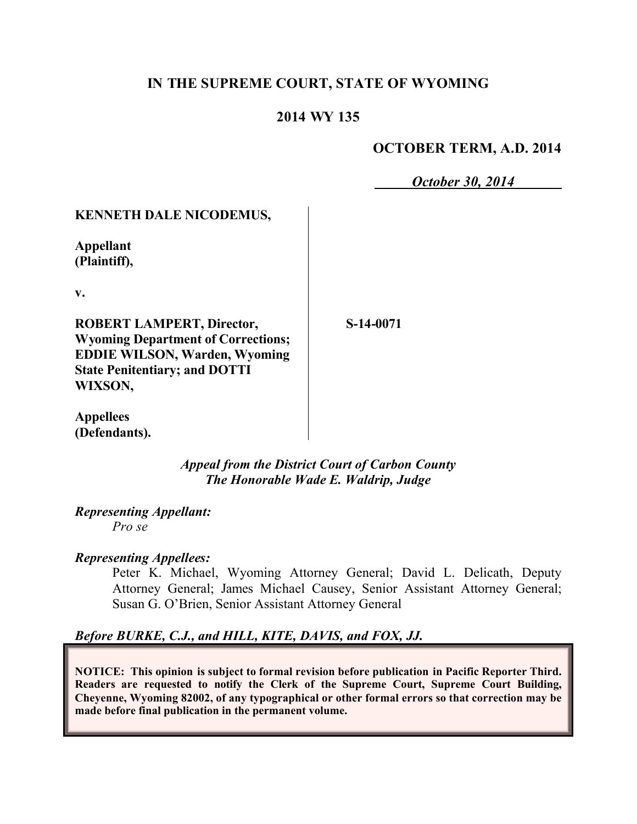# **IN THE SUPREME COURT, STATE OF WYOMING**

## **2014 WY 135**

## **OCTOBER TERM, A.D. 2014**

*October 30, 2014*

## **KENNETH DALE NICODEMUS,**

**Appellant (Plaintiff),**

**v.**

**ROBERT LAMPERT, Director, Wyoming Department of Corrections; EDDIE WILSON, Warden, Wyoming State Penitentiary; and DOTTI WIXSON,**

**S-14-0071**

**Appellees (Defendants).**

> *Appeal from the District Court of Carbon County The Honorable Wade E. Waldrip, Judge*

*Representing Appellant: Pro se*

### *Representing Appellees:*

Peter K. Michael, Wyoming Attorney General; David L. Delicath, Deputy Attorney General; James Michael Causey, Senior Assistant Attorney General; Susan G. O'Brien, Senior Assistant Attorney General

## *Before BURKE, C.J., and HILL, KITE, DAVIS, and FOX, JJ.*

**NOTICE: This opinion is subject to formal revision before publication in Pacific Reporter Third. Readers are requested to notify the Clerk of the Supreme Court, Supreme Court Building, Cheyenne, Wyoming 82002, of any typographical or other formal errors so that correction may be made before final publication in the permanent volume.**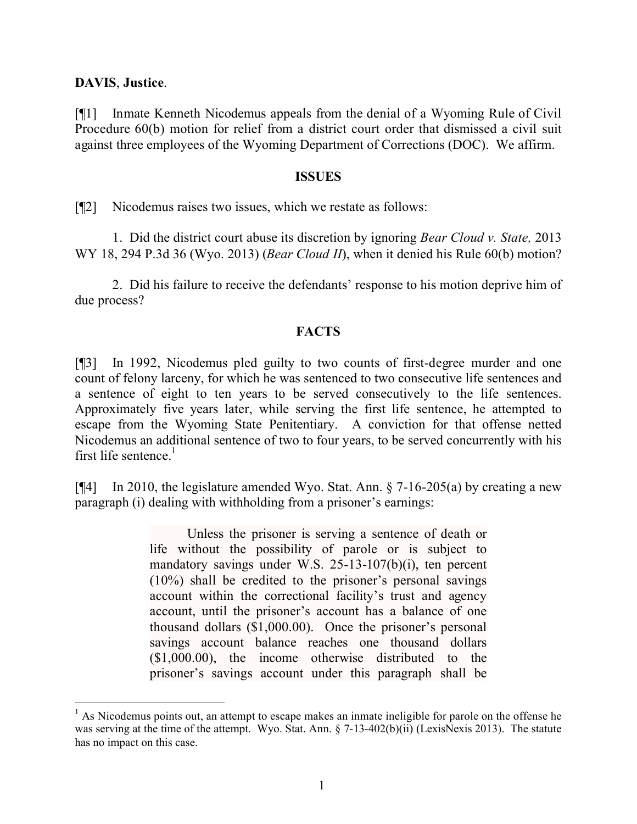### **DAVIS**, **Justice**.

[¶1] Inmate Kenneth Nicodemus appeals from the denial of a Wyoming Rule of Civil Procedure 60(b) motion for relief from a district court order that dismissed a civil suit against three employees of the Wyoming Department of Corrections (DOC). We affirm.

#### **ISSUES**

[¶2] Nicodemus raises two issues, which we restate as follows:

1. Did the district court abuse its discretion by ignoring *Bear Cloud v. State,* 2013 WY 18, 294 P.3d 36 (Wyo. 2013) (*Bear Cloud II*), when it denied his Rule 60(b) motion?

2. Did his failure to receive the defendants' response to his motion deprive him of due process?

### **FACTS**

[¶3] In 1992, Nicodemus pled guilty to two counts of first-degree murder and one count of felony larceny, for which he was sentenced to two consecutive life sentences and a sentence of eight to ten years to be served consecutively to the life sentences. Approximately five years later, while serving the first life sentence, he attempted to escape from the Wyoming State Penitentiary. A conviction for that offense netted Nicodemus an additional sentence of two to four years, to be served concurrently with his first life sentence. $<sup>1</sup>$ </sup>

[ $[$ 4] In 2010, the legislature amended Wyo. Stat. Ann. § 7-16-205(a) by creating a new paragraph (i) dealing with withholding from a prisoner's earnings:

> Unless the prisoner is serving a sentence of death or life without the possibility of parole or is subject to mandatory savings under W.S. 25-13-107(b)(i), ten percent (10%) shall be credited to the prisoner's personal savings account within the correctional facility's trust and agency account, until the prisoner's account has a balance of one thousand dollars (\$1,000.00). Once the prisoner's personal savings account balance reaches one thousand dollars (\$1,000.00), the income otherwise distributed to the prisoner's savings account under this paragraph shall be

 $<sup>1</sup>$  As Nicodemus points out, an attempt to escape makes an inmate ineligible for parole on the offense he</sup> was serving at the time of the attempt. Wyo. Stat. Ann. § 7-13-402(b)(ii) (LexisNexis 2013). The statute has no impact on this case.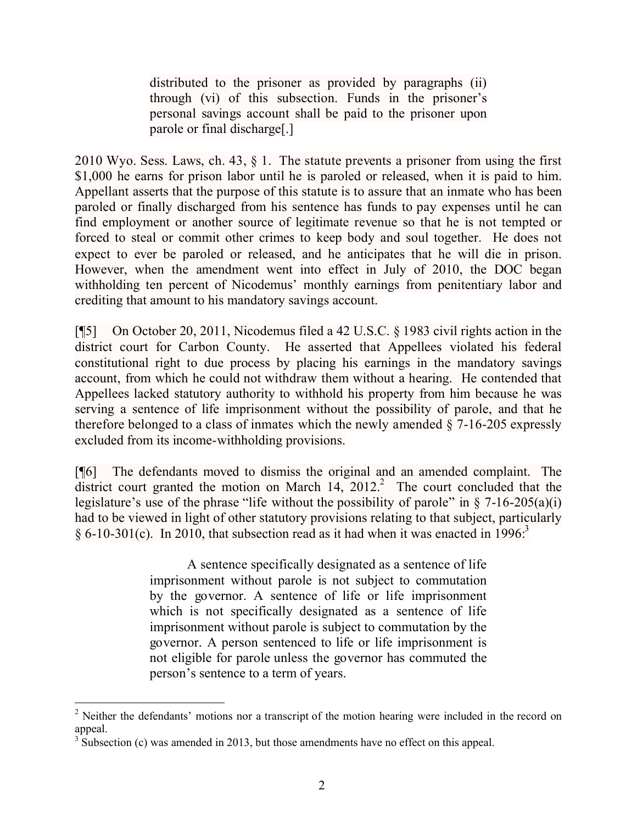distributed to the prisoner as provided by paragraphs (ii) through (vi) of this subsection. Funds in the prisoner's personal savings account shall be paid to the prisoner upon parole or final discharge[.]

2010 Wyo. Sess. Laws, ch. 43, § 1. The statute prevents a prisoner from using the first \$1,000 he earns for prison labor until he is paroled or released, when it is paid to him. Appellant asserts that the purpose of this statute is to assure that an inmate who has been paroled or finally discharged from his sentence has funds to pay expenses until he can find employment or another source of legitimate revenue so that he is not tempted or forced to steal or commit other crimes to keep body and soul together. He does not expect to ever be paroled or released, and he anticipates that he will die in prison. However, when the amendment went into effect in July of 2010, the DOC began withholding ten percent of Nicodemus' monthly earnings from penitentiary labor and crediting that amount to his mandatory savings account.

[¶5] On October 20, 2011, Nicodemus filed a 42 U.S.C. § 1983 civil rights action in the district court for Carbon County. He asserted that Appellees violated his federal constitutional right to due process by placing his earnings in the mandatory savings account, from which he could not withdraw them without a hearing. He contended that Appellees lacked statutory authority to withhold his property from him because he was serving a sentence of life imprisonment without the possibility of parole, and that he therefore belonged to a class of inmates which the newly amended § 7-16-205 expressly excluded from its income-withholding provisions.

[¶6] The defendants moved to dismiss the original and an amended complaint. The district court granted the motion on March  $14$ ,  $2012$ .<sup>2</sup> The court concluded that the legislature's use of the phrase "life without the possibility of parole" in  $\S$  7-16-205(a)(i) had to be viewed in light of other statutory provisions relating to that subject, particularly  $\delta$  6-10-301(c). In 2010, that subsection read as it had when it was enacted in 1996.<sup>3</sup>

> A sentence specifically designated as a sentence of life imprisonment without parole is not subject to commutation by the governor. A sentence of life or life imprisonment which is not specifically designated as a sentence of life imprisonment without parole is subject to commutation by the governor. A person sentenced to life or life imprisonment is not eligible for parole unless the governor has commuted the person's sentence to a term of years.

 <sup>2</sup> Neither the defendants' motions nor a transcript of the motion hearing were included in the record on appeal.

 $3\overline{\smash{3}}$  Subsection (c) was amended in 2013, but those amendments have no effect on this appeal.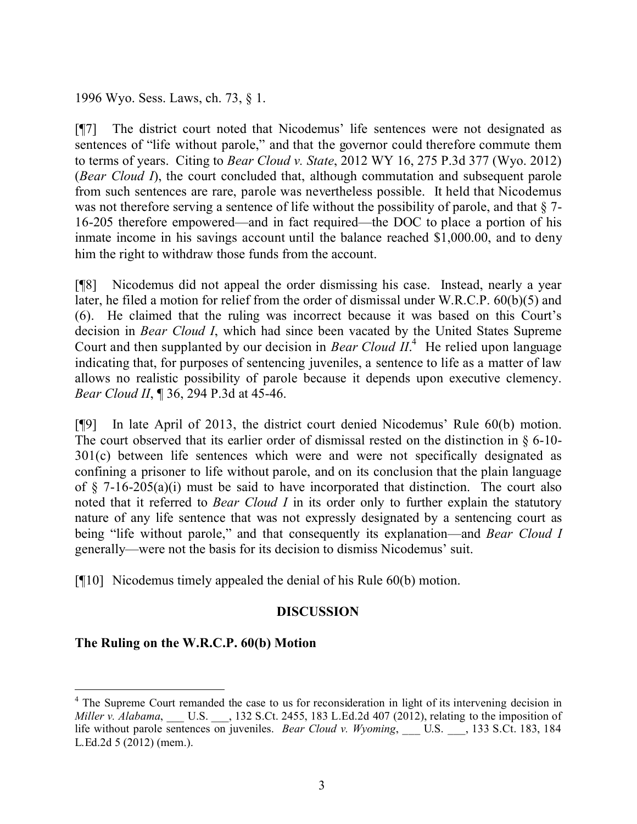1996 Wyo. Sess. Laws, ch. 73, § 1.

[¶7] The district court noted that Nicodemus' life sentences were not designated as sentences of "life without parole," and that the governor could therefore commute them to terms of years. Citing to *Bear Cloud v. State*, 2012 WY 16, 275 P.3d 377 (Wyo. 2012) (*Bear Cloud I*), the court concluded that, although commutation and subsequent parole from such sentences are rare, parole was nevertheless possible. It held that Nicodemus was not therefore serving a sentence of life without the possibility of parole, and that  $\S$  7-16-205 therefore empowered—and in fact required—the DOC to place a portion of his inmate income in his savings account until the balance reached \$1,000.00, and to deny him the right to withdraw those funds from the account.

[¶8] Nicodemus did not appeal the order dismissing his case. Instead, nearly a year later, he filed a motion for relief from the order of dismissal under W.R.C.P. 60(b)(5) and (6). He claimed that the ruling was incorrect because it was based on this Court's decision in *Bear Cloud I*, which had since been vacated by the United States Supreme Court and then supplanted by our decision in *Bear Cloud II*.<sup>4</sup> He relied upon language indicating that, for purposes of sentencing juveniles, a sentence to life as a matter of law allows no realistic possibility of parole because it depends upon executive clemency. *Bear Cloud II*, ¶ 36, 294 P.3d at 45-46.

[¶9] In late April of 2013, the district court denied Nicodemus' Rule 60(b) motion. The court observed that its earlier order of dismissal rested on the distinction in § 6-10- 301(c) between life sentences which were and were not specifically designated as confining a prisoner to life without parole, and on its conclusion that the plain language of  $\S$  7-16-205(a)(i) must be said to have incorporated that distinction. The court also noted that it referred to *Bear Cloud I* in its order only to further explain the statutory nature of any life sentence that was not expressly designated by a sentencing court as being "life without parole," and that consequently its explanation—and *Bear Cloud I*  generally—were not the basis for its decision to dismiss Nicodemus' suit.

[¶10] Nicodemus timely appealed the denial of his Rule 60(b) motion.

### **DISCUSSION**

## **The Ruling on the W.R.C.P. 60(b) Motion**

 $\overline{a}$ 

<sup>&</sup>lt;sup>4</sup> The Supreme Court remanded the case to us for reconsideration in light of its intervening decision in *Miller v. Alabama*, \_\_\_ U.S. \_\_\_, 132 S.Ct. 2455, 183 L.Ed.2d 407 (2012), relating to the imposition of life without parole sentences on juveniles. *Bear Cloud v. Wyoming*, \_\_\_ U.S. \_\_\_, 133 S.Ct. 183, 184 L.Ed.2d 5 (2012) (mem.).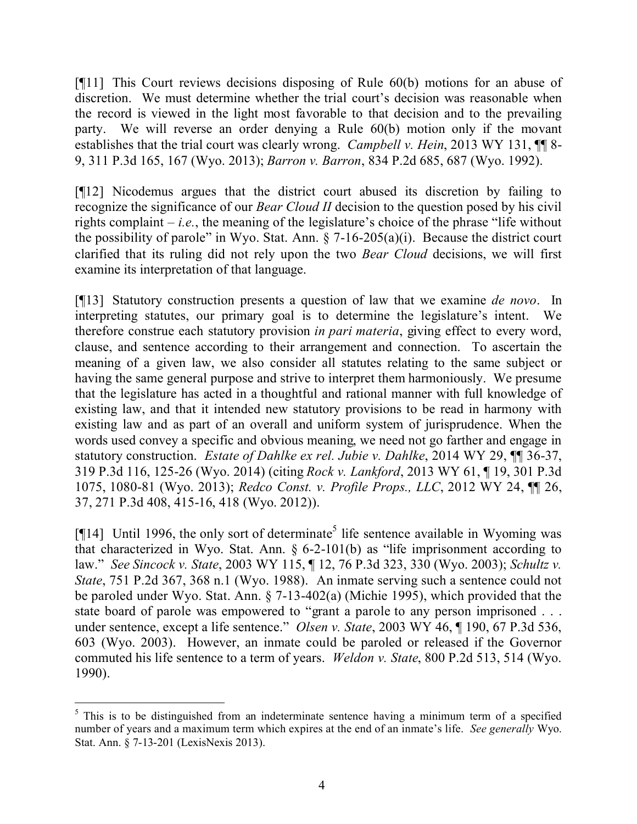[¶11] This Court reviews decisions disposing of Rule 60(b) motions for an abuse of discretion. We must determine whether the trial court's decision was reasonable when the record is viewed in the light most favorable to that decision and to the prevailing party. We will reverse an order denying a Rule 60(b) motion only if the movant establishes that the trial court was clearly wrong. *Campbell v. Hein*, 2013 WY 131, **¶** 8-9, 311 P.3d 165, 167 (Wyo. 2013); *Barron v. Barron*, 834 P.2d 685, 687 (Wyo. 1992).

[¶12] Nicodemus argues that the district court abused its discretion by failing to recognize the significance of our *Bear Cloud II* decision to the question posed by his civil rights complaint – *i.e.*, the meaning of the legislature's choice of the phrase "life without the possibility of parole" in Wyo. Stat. Ann.  $\S$  7-16-205(a)(i). Because the district court clarified that its ruling did not rely upon the two *Bear Cloud* decisions, we will first examine its interpretation of that language.

[¶13] Statutory construction presents a question of law that we examine *de novo*. In interpreting statutes, our primary goal is to determine the legislature's intent. We therefore construe each statutory provision *in pari materia*, giving effect to every word, clause, and sentence according to their arrangement and connection. To ascertain the meaning of a given law, we also consider all statutes relating to the same subject or having the same general purpose and strive to interpret them harmoniously. We presume that the legislature has acted in a thoughtful and rational manner with full knowledge of existing law, and that it intended new statutory provisions to be read in harmony with existing law and as part of an overall and uniform system of jurisprudence. When the words used convey a specific and obvious meaning, we need not go farther and engage in statutory construction. *Estate of Dahlke ex rel. Jubie v. Dahlke*, 2014 WY 29, ¶¶ 36-37, 319 P.3d 116, 125-26 (Wyo. 2014) (citing *Rock v. Lankford*, 2013 WY 61, ¶ 19, 301 P.3d 1075, 1080-81 (Wyo. 2013); *Redco Const. v. Profile Props., LLC*, 2012 WY 24, ¶¶ 26, 37, 271 P.3d 408, 415-16, 418 (Wyo. 2012)).

[ $[14]$  Until 1996, the only sort of determinate<sup>5</sup> life sentence available in Wyoming was that characterized in Wyo. Stat. Ann. § 6-2-101(b) as "life imprisonment according to law." *See Sincock v. State*, 2003 WY 115, ¶ 12, 76 P.3d 323, 330 (Wyo. 2003); *Schultz v. State*, 751 P.2d 367, 368 n.1 (Wyo. 1988). An inmate serving such a sentence could not be paroled under Wyo. Stat. Ann. § 7-13-402(a) (Michie 1995), which provided that the state board of parole was empowered to "grant a parole to any person imprisoned . . . under sentence, except a life sentence." *Olsen v. State*, 2003 WY 46, ¶ 190, 67 P.3d 536, 603 (Wyo. 2003). However, an inmate could be paroled or released if the Governor commuted his life sentence to a term of years. *Weldon v. State*, 800 P.2d 513, 514 (Wyo. 1990).

 <sup>5</sup> This is to be distinguished from an indeterminate sentence having a minimum term of a specified number of years and a maximum term which expires at the end of an inmate's life. *See generally* Wyo. Stat. Ann. § 7-13-201 (LexisNexis 2013).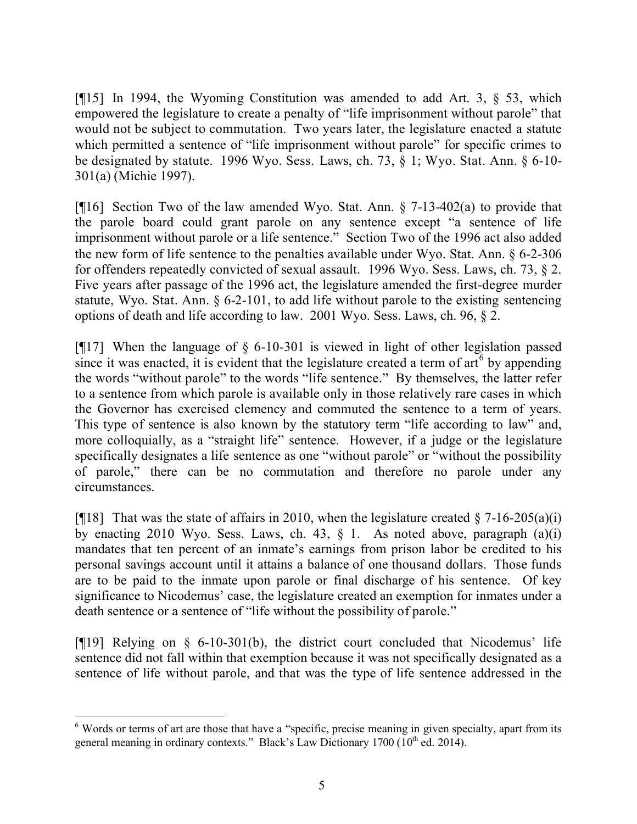[¶15] In 1994, the Wyoming Constitution was amended to add Art. 3, § 53, which empowered the legislature to create a penalty of "life imprisonment without parole" that would not be subject to commutation. Two years later, the legislature enacted a statute which permitted a sentence of "life imprisonment without parole" for specific crimes to be designated by statute. 1996 Wyo. Sess. Laws, ch. 73, § 1; Wyo. Stat. Ann. § 6-10- 301(a) (Michie 1997).

[¶16] Section Two of the law amended Wyo. Stat. Ann. § 7-13-402(a) to provide that the parole board could grant parole on any sentence except "a sentence of life imprisonment without parole or a life sentence." Section Two of the 1996 act also added the new form of life sentence to the penalties available under Wyo. Stat. Ann. § 6-2-306 for offenders repeatedly convicted of sexual assault. 1996 Wyo. Sess. Laws, ch. 73, § 2. Five years after passage of the 1996 act, the legislature amended the first-degree murder statute, Wyo. Stat. Ann. § 6-2-101, to add life without parole to the existing sentencing options of death and life according to law. 2001 Wyo. Sess. Laws, ch. 96, § 2.

[¶17] When the language of § 6-10-301 is viewed in light of other legislation passed since it was enacted, it is evident that the legislature created a term of  $\arctan 6$  by appending the words "without parole" to the words "life sentence." By themselves, the latter refer to a sentence from which parole is available only in those relatively rare cases in which the Governor has exercised clemency and commuted the sentence to a term of years. This type of sentence is also known by the statutory term "life according to law" and, more colloquially, as a "straight life" sentence. However, if a judge or the legislature specifically designates a life sentence as one "without parole" or "without the possibility of parole," there can be no commutation and therefore no parole under any circumstances.

[ $[$ [18] That was the state of affairs in 2010, when the legislature created  $\S$  7-16-205(a)(i) by enacting 2010 Wyo. Sess. Laws, ch. 43,  $\S$  1. As noted above, paragraph  $(a)(i)$ mandates that ten percent of an inmate's earnings from prison labor be credited to his personal savings account until it attains a balance of one thousand dollars. Those funds are to be paid to the inmate upon parole or final discharge of his sentence. Of key significance to Nicodemus' case, the legislature created an exemption for inmates under a death sentence or a sentence of "life without the possibility of parole."

[¶19] Relying on § 6-10-301(b), the district court concluded that Nicodemus' life sentence did not fall within that exemption because it was not specifically designated as a sentence of life without parole, and that was the type of life sentence addressed in the

<sup>&</sup>lt;sup>6</sup> Words or terms of art are those that have a "specific, precise meaning in given specialty, apart from its general meaning in ordinary contexts." Black's Law Dictionary 1700 ( $10^{th}$  ed. 2014).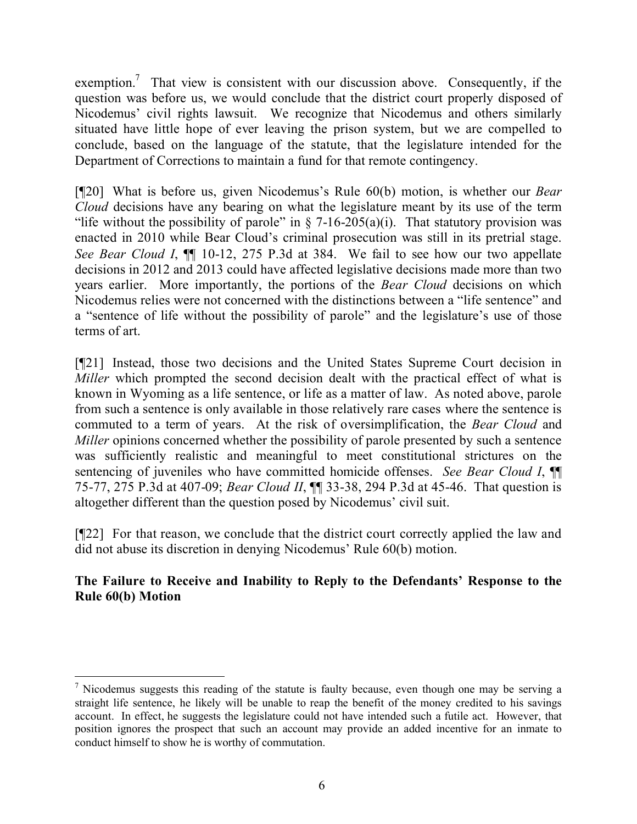exemption.<sup>7</sup> That view is consistent with our discussion above. Consequently, if the question was before us, we would conclude that the district court properly disposed of Nicodemus' civil rights lawsuit. We recognize that Nicodemus and others similarly situated have little hope of ever leaving the prison system, but we are compelled to conclude, based on the language of the statute, that the legislature intended for the Department of Corrections to maintain a fund for that remote contingency.

[¶20] What is before us, given Nicodemus's Rule 60(b) motion, is whether our *Bear Cloud* decisions have any bearing on what the legislature meant by its use of the term "life without the possibility of parole" in  $\S$  7-16-205(a)(i). That statutory provision was enacted in 2010 while Bear Cloud's criminal prosecution was still in its pretrial stage. *See Bear Cloud I*, ¶¶ 10-12, 275 P.3d at 384. We fail to see how our two appellate decisions in 2012 and 2013 could have affected legislative decisions made more than two years earlier. More importantly, the portions of the *Bear Cloud* decisions on which Nicodemus relies were not concerned with the distinctions between a "life sentence" and a "sentence of life without the possibility of parole" and the legislature's use of those terms of art.

[¶21] Instead, those two decisions and the United States Supreme Court decision in *Miller* which prompted the second decision dealt with the practical effect of what is known in Wyoming as a life sentence, or life as a matter of law. As noted above, parole from such a sentence is only available in those relatively rare cases where the sentence is commuted to a term of years. At the risk of oversimplification, the *Bear Cloud* and *Miller* opinions concerned whether the possibility of parole presented by such a sentence was sufficiently realistic and meaningful to meet constitutional strictures on the sentencing of juveniles who have committed homicide offenses. *See Bear Cloud I*, ¶¶ 75-77, 275 P.3d at 407-09; *Bear Cloud II*, ¶¶ 33-38, 294 P.3d at 45-46. That question is altogether different than the question posed by Nicodemus' civil suit.

[¶22] For that reason, we conclude that the district court correctly applied the law and did not abuse its discretion in denying Nicodemus' Rule 60(b) motion.

# **The Failure to Receive and Inability to Reply to the Defendants' Response to the Rule 60(b) Motion**

 $<sup>7</sup>$  Nicodemus suggests this reading of the statute is faulty because, even though one may be serving a</sup> straight life sentence, he likely will be unable to reap the benefit of the money credited to his savings account. In effect, he suggests the legislature could not have intended such a futile act. However, that position ignores the prospect that such an account may provide an added incentive for an inmate to conduct himself to show he is worthy of commutation.